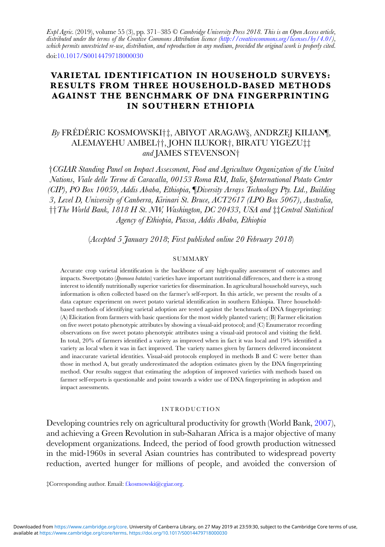*Expl Agric.* (2019), volume 55 (3), pp. 371–385 © *Cambridge University Press 2018. This is an Open Access article, distributed under the terms of the Creative Commons Attribution licence [\(http://creativecommons.org/licenses/by/4.0/\)](http://creativecommons.org/licenses/by/4.0/), which permits unrestricted re-use, distribution, and reproduction in any medium, provided the original work is properly cited.* doi[:10.1017/S0014479718000030](https://doi.org/10.1017/S0014479718000030)

# **VARIETAL IDENTIFICATION IN HOUSEHOLD SURVEYS : RESULTS FROM THREE HOUSEHOLD-BASED METHODS AGAINST THE BENCHMARK OF DNA FINGERPRINTING IN SOUTHERN ETHIOPIA**

## *By* FRÉDÉRIC KOSMOWSKI†‡, ABIYOT ARAGAW§, ANDRZEJ KILIAN¶, ALEMAYEHU AMBEL††, JOHN ILUKOR†, BIRATU YIGEZU‡‡ *and* JAMES STEVENSON†

†*CGIAR Standing Panel on Impact Assessment, Food and Agriculture Organization of the United Nations, Viale delle Terme di Caracalla, 00153 Roma RM, Italie,* §*International Potato Center (CIP), PO Box 10059, Addis Ababa, Ethiopia,* ¶*Diversity Arrays Technology Pty. Ltd., Building 3, Level D, University of Canberra, Kirinari St. Bruce, ACT2617 (LPO Box 5067), Australia,* ††*The World Bank, 1818 H St. NW, Washington, DC 20433, USA and* ‡‡*Central Statistical Agency of Ethiopia, Piassa, Addis Ababa, Ethiopia*

(*Accepted 5 January 2018*; *First published online 20 February 2018*)

#### SUMMARY

Accurate crop varietal identification is the backbone of any high-quality assessment of outcomes and impacts. Sweetpotato (*Ipomoea batatas*) varieties have important nutritional differences, and there is a strong interest to identify nutritionally superior varieties for dissemination. In agricultural household surveys, such information is often collected based on the farmer's self-report. In this article, we present the results of a data capture experiment on sweet potato varietal identification in southern Ethiopia. Three householdbased methods of identifying varietal adoption are tested against the benchmark of DNA fingerprinting: (A) Elicitation from farmers with basic questions for the most widely planted variety; (B) Farmer elicitation on five sweet potato phenotypic attributes by showing a visual-aid protocol; and (C) Enumerator recording observations on five sweet potato phenotypic attributes using a visual-aid protocol and visiting the field. In total, 20% of farmers identified a variety as improved when in fact it was local and 19% identified a variety as local when it was in fact improved. The variety names given by farmers delivered inconsistent and inaccurate varietal identities. Visual-aid protocols employed in methods B and C were better than those in method A, but greatly underestimated the adoption estimates given by the DNA fingerprinting method. Our results suggest that estimating the adoption of improved varieties with methods based on farmer self-reports is questionable and point towards a wider use of DNA fingerprinting in adoption and impact assessments.

#### INTRODUCTION

Developing countries rely on agricultural productivity for growth (World Bank, [2007\)](#page-14-0), and achieving a Green Revolution in sub-Saharan Africa is a major objective of many development organizations. Indeed, the period of food growth production witnessed in the mid-1960s in several Asian countries has contributed to widespread poverty reduction, averted hunger for millions of people, and avoided the conversion of

‡Corresponding author. Email: [f.kosmowski@cgiar.org.](mailto:f.kosmowski@cgiar.org)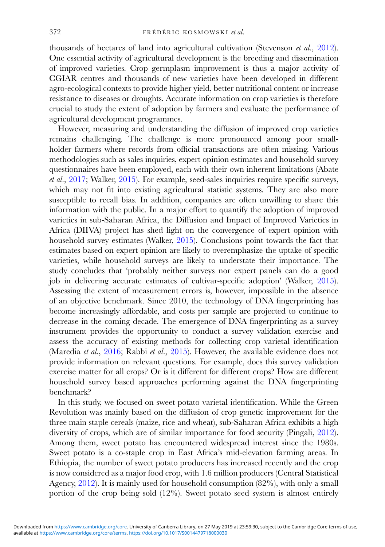thousands of hectares of land into agricultural cultivation (Stevenson *et al.*, [2012\)](#page-14-0). One essential activity of agricultural development is the breeding and dissemination of improved varieties. Crop germplasm improvement is thus a major activity of CGIAR centres and thousands of new varieties have been developed in different agro-ecological contexts to provide higher yield, better nutritional content or increase resistance to diseases or droughts. Accurate information on crop varieties is therefore crucial to study the extent of adoption by farmers and evaluate the performance of agricultural development programmes.

However, measuring and understanding the diffusion of improved crop varieties remains challenging. The challenge is more pronounced among poor smallholder farmers where records from official transactions are often missing. Various methodologies such as sales inquiries, expert opinion estimates and household survey questionnaires have been employed, each with their own inherent limitations (Abate *et al.*, [2017;](#page-13-0) Walker, [2015\)](#page-14-0). For example, seed-sales inquiries require specific surveys, which may not fit into existing agricultural statistic systems. They are also more susceptible to recall bias. In addition, companies are often unwilling to share this information with the public. In a major effort to quantify the adoption of improved varieties in sub-Saharan Africa, the Diffusion and Impact of Improved Varieties in Africa (DIIVA) project has shed light on the convergence of expert opinion with household survey estimates (Walker, [2015\)](#page-14-0). Conclusions point towards the fact that estimates based on expert opinion are likely to overemphasize the uptake of specific varieties, while household surveys are likely to understate their importance. The study concludes that 'probably neither surveys nor expert panels can do a good job in delivering accurate estimates of cultivar-specific adoption' (Walker, [2015\)](#page-14-0). Assessing the extent of measurement errors is, however, impossible in the absence of an objective benchmark. Since 2010, the technology of DNA fingerprinting has become increasingly affordable, and costs per sample are projected to continue to decrease in the coming decade. The emergence of DNA fingerprinting as a survey instrument provides the opportunity to conduct a survey validation exercise and assess the accuracy of existing methods for collecting crop varietal identification (Maredia *et al.*, [2016;](#page-14-0) Rabbi *et al.*, [2015\)](#page-14-0). However, the available evidence does not provide information on relevant questions. For example, does this survey validation exercise matter for all crops? Or is it different for different crops? How are different household survey based approaches performing against the DNA fingerprinting benchmark?

In this study, we focused on sweet potato varietal identification. While the Green Revolution was mainly based on the diffusion of crop genetic improvement for the three main staple cereals (maize, rice and wheat), sub-Saharan Africa exhibits a high diversity of crops, which are of similar importance for food security (Pingali, [2012\)](#page-14-0). Among them, sweet potato has encountered widespread interest since the 1980s. Sweet potato is a co-staple crop in East Africa's mid-elevation farming areas. In Ethiopia, the number of sweet potato producers has increased recently and the crop is now considered as a major food crop, with 1.6 million producers (Central Statistical Agency, [2012\)](#page-13-0). It is mainly used for household consumption (82%), with only a small portion of the crop being sold (12%). Sweet potato seed system is almost entirely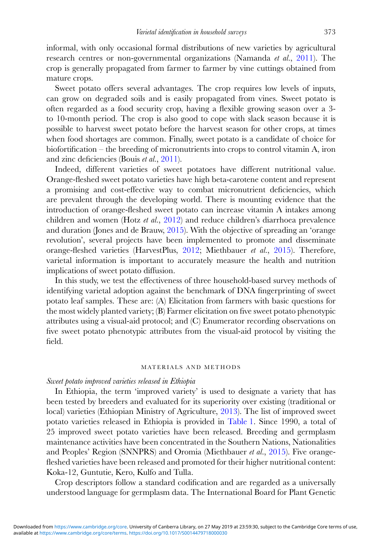informal, with only occasional formal distributions of new varieties by agricultural research centres or non-governmental organizations (Namanda *et al.*, [2011\)](#page-14-0). The crop is generally propagated from farmer to farmer by vine cuttings obtained from mature crops.

Sweet potato offers several advantages. The crop requires low levels of inputs, can grow on degraded soils and is easily propagated from vines. Sweet potato is often regarded as a food security crop, having a flexible growing season over a 3 to 10-month period. The crop is also good to cope with slack season because it is possible to harvest sweet potato before the harvest season for other crops, at times when food shortages are common. Finally, sweet potato is a candidate of choice for biofortification – the breeding of micronutrients into crops to control vitamin A, iron and zinc deficiencies (Bouis *et al.*, [2011\)](#page-13-0).

Indeed, different varieties of sweet potatoes have different nutritional value. Orange-fleshed sweet potato varieties have high beta-carotene content and represent a promising and cost-effective way to combat micronutrient deficiencies, which are prevalent through the developing world. There is mounting evidence that the introduction of orange-fleshed sweet potato can increase vitamin A intakes among children and women (Hotz *et al.*, [2012\)](#page-14-0) and reduce children's diarrhoea prevalence and duration (Jones and de Brauw, [2015\)](#page-14-0). With the objective of spreading an 'orange revolution', several projects have been implemented to promote and disseminate orange-fleshed varieties (HarvestPlus, [2012;](#page-14-0) Miethbauer *et al.*, [2015\)](#page-14-0). Therefore, varietal information is important to accurately measure the health and nutrition implications of sweet potato diffusion.

In this study, we test the effectiveness of three household-based survey methods of identifying varietal adoption against the benchmark of DNA fingerprinting of sweet potato leaf samples. These are: (A) Elicitation from farmers with basic questions for the most widely planted variety; (B) Farmer elicitation on five sweet potato phenotypic attributes using a visual-aid protocol; and (C) Enumerator recording observations on five sweet potato phenotypic attributes from the visual-aid protocol by visiting the field.

#### MATERIALS AND METHODS

### *Sweet potato improved varieties released in Ethiopia*

In Ethiopia, the term 'improved variety' is used to designate a variety that has been tested by breeders and evaluated for its superiority over existing (traditional or local) varieties (Ethiopian Ministry of Agriculture, [2013\)](#page-13-0). The list of improved sweet potato varieties released in Ethiopia is provided in [Table 1.](#page-3-0) Since 1990, a total of 25 improved sweet potato varieties have been released. Breeding and germplasm maintenance activities have been concentrated in the Southern Nations, Nationalities and Peoples' Region (SNNPRS) and Oromia (Miethbauer *et al.*, [2015\)](#page-14-0). Five orangefleshed varieties have been released and promoted for their higher nutritional content: Koka-12, Guntutie, Kero, Kulfo and Tulla.

Crop descriptors follow a standard codification and are regarded as a universally understood language for germplasm data. The International Board for Plant Genetic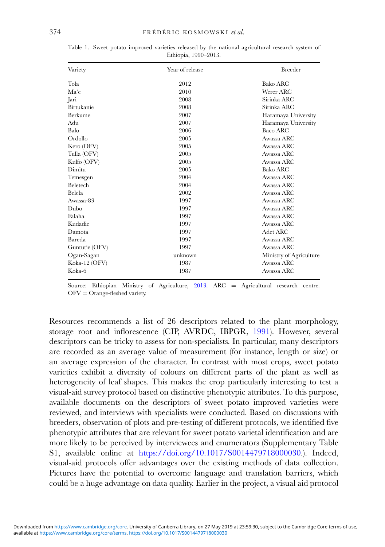| Variety        | Year of release | <b>Breeder</b>          |
|----------------|-----------------|-------------------------|
| Tola           | 2012            | <b>Bako ARC</b>         |
| Ma'e           | 2010            | Werer ARC               |
| Jari           | 2008            | Sirinka ARC             |
| Birtukanie     | 2008            | Sirinka ARC             |
| Berkume        | 2007            | Haramaya University     |
| Adu            | 2007            | Haramaya University     |
| Balo           | 2006            | Baco ARC                |
| Ordollo        | 2005            | Awassa ARC              |
| Kero (OFV)     | 2005            | Awassa ARC              |
| Tulla (OFV)    | 2005            | Awassa ARC              |
| Kulfo (OFV)    | 2005            | Awassa ARC              |
| Dimitu         | 2005            | <b>Bako ARC</b>         |
| Temesgen       | 2004            | Awassa ARC              |
| Beletech       | 2004            | Awassa ARC              |
| Belela         | 2002            | Awassa ARC              |
| Awassa-83      | 1997            | Awassa ARC              |
| Dubo           | 1997            | Awassa ARC              |
| Falaha         | 1997            | Awassa ARC              |
| Kudadie        | 1997            | Awassa ARC              |
| Damota         | 1997            | Adet ARC                |
| Bareda         | 1997            | Awassa ARC              |
| Guntutie (OFV) | 1997            | Awassa ARC              |
| Ogan-Sagan     | unknown         | Ministry of Agriculture |
| Koka-12 (OFV)  | 1987            | Awassa ARC              |
| Koka-6         | 1987            | Awassa ARC              |

<span id="page-3-0"></span>Table 1. Sweet potato improved varieties released by the national agricultural research system of Ethiopia, 1990–2013.

Source: Ethiopian Ministry of Agriculture, [2013.](#page-13-0) ARC = Agricultural research centre.  $OFV = Orange-fleshed$  variety.

Resources recommends a list of 26 descriptors related to the plant morphology, storage root and inflorescence (CIP, AVRDC, IBPGR, [1991\)](#page-13-0). However, several descriptors can be tricky to assess for non-specialists. In particular, many descriptors are recorded as an average value of measurement (for instance, length or size) or an average expression of the character. In contrast with most crops, sweet potato varieties exhibit a diversity of colours on different parts of the plant as well as heterogeneity of leaf shapes. This makes the crop particularly interesting to test a visual-aid survey protocol based on distinctive phenotypic attributes. To this purpose, available documents on the descriptors of sweet potato improved varieties were reviewed, and interviews with specialists were conducted. Based on discussions with breeders, observation of plots and pre-testing of different protocols, we identified five phenotypic attributes that are relevant for sweet potato varietal identification and are more likely to be perceived by interviewees and enumerators (Supplementary Table S1, available online at [https://doi.org/10.1017/S0014479718000030.](https://doi.org/10.1017/S0014479718000030)). Indeed, visual-aid protocols offer advantages over the existing methods of data collection. Pictures have the potential to overcome language and translation barriers, which could be a huge advantage on data quality. Earlier in the project, a visual aid protocol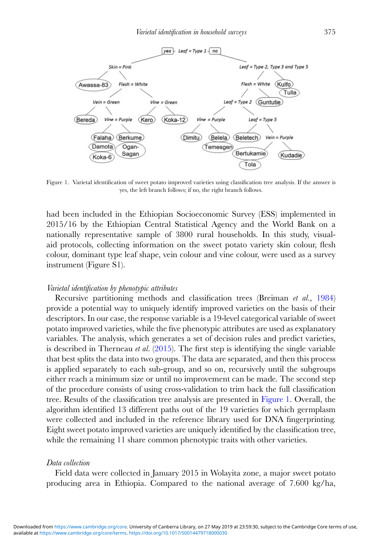

Figure 1. Varietal identification of sweet potato improved varieties using classification tree analysis. If the answer is yes, the left branch follows; if no, the right branch follows.

had been included in the Ethiopian Socioeconomic Survey (ESS) implemented in 2015/16 by the Ethiopian Central Statistical Agency and the World Bank on a nationally representative sample of 3800 rural households. In this study, visualaid protocols, collecting information on the sweet potato variety skin colour, flesh colour, dominant type leaf shape, vein colour and vine colour, were used as a survey instrument (Figure S1).

## *Varietal identification by phenotypic attributes*

Recursive partitioning methods and classification trees (Breiman *et al.*, [1984\)](#page-13-0) provide a potential way to uniquely identify improved varieties on the basis of their descriptors. In our case, the response variable is a 19-level categorical variable of sweet potato improved varieties, while the five phenotypic attributes are used as explanatory variables. The analysis, which generates a set of decision rules and predict varieties, is described in Therneau *et al.* [\(2015\)](#page-14-0). The first step is identifying the single variable that best splits the data into two groups. The data are separated, and then this process is applied separately to each sub-group, and so on, recursively until the subgroups either reach a minimum size or until no improvement can be made. The second step of the procedure consists of using cross-validation to trim back the full classification tree. Results of the classification tree analysis are presented in Figure 1. Overall, the algorithm identified 13 different paths out of the 19 varieties for which germplasm were collected and included in the reference library used for DNA fingerprinting. Eight sweet potato improved varieties are uniquely identified by the classification tree, while the remaining 11 share common phenotypic traits with other varieties.

#### *Data collection*

Field data were collected in January 2015 in Wolayita zone, a major sweet potato producing area in Ethiopia. Compared to the national average of 7.600 kg/ha,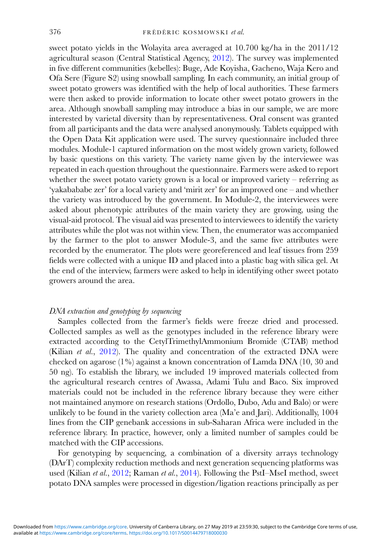sweet potato yields in the Wolayita area averaged at 10.700 kg/ha in the 2011/12 agricultural season (Central Statistical Agency, [2012\)](#page-13-0). The survey was implemented in five different communities (kebelles): Buge, Ade Koyisha, Gacheno, Waja Kero and Ofa Sere (Figure S2) using snowball sampling. In each community, an initial group of sweet potato growers was identified with the help of local authorities. These farmers were then asked to provide information to locate other sweet potato growers in the area. Although snowball sampling may introduce a bias in our sample, we are more interested by varietal diversity than by representativeness. Oral consent was granted from all participants and the data were analysed anonymously. Tablets equipped with the Open Data Kit application were used. The survey questionnaire included three modules. Module-1 captured information on the most widely grown variety, followed by basic questions on this variety. The variety name given by the interviewee was repeated in each question throughout the questionnaire. Farmers were asked to report whether the sweet potato variety grown is a local or improved variety – referring as 'yakabababe zer' for a local variety and 'mirit zer' for an improved one – and whether the variety was introduced by the government. In Module-2, the interviewees were asked about phenotypic attributes of the main variety they are growing, using the visual-aid protocol. The visual aid was presented to interviewees to identify the variety attributes while the plot was not within view. Then, the enumerator was accompanied by the farmer to the plot to answer Module-3, and the same five attributes were recorded by the enumerator. The plots were georeferenced and leaf tissues from 259 fields were collected with a unique ID and placed into a plastic bag with silica gel. At the end of the interview, farmers were asked to help in identifying other sweet potato growers around the area.

### *DNA extraction and genotyping by sequencing*

Samples collected from the farmer's fields were freeze dried and processed. Collected samples as well as the genotypes included in the reference library were extracted according to the CetylTrimethylAmmonium Bromide (CTAB) method (Kilian *et al.*, [2012\)](#page-14-0). The quality and concentration of the extracted DNA were checked on agarose (1%) against a known concentration of Lamda DNA (10, 30 and 50 ng). To establish the library, we included 19 improved materials collected from the agricultural research centres of Awassa, Adami Tulu and Baco. Six improved materials could not be included in the reference library because they were either not maintained anymore on research stations (Ordollo, Dubo, Adu and Balo) or were unlikely to be found in the variety collection area (Ma'e and Jari). Additionally, 1004 lines from the CIP genebank accessions in sub-Saharan Africa were included in the reference library. In practice, however, only a limited number of samples could be matched with the CIP accessions.

For genotyping by sequencing, a combination of a diversity arrays technology (DArT) complexity reduction methods and next generation sequencing platforms was used (Kilian *et al.*, [2012;](#page-14-0) Raman *et al.*, [2014\)](#page-14-0). Following the PstI–MseI method, sweet potato DNA samples were processed in digestion/ligation reactions principally as per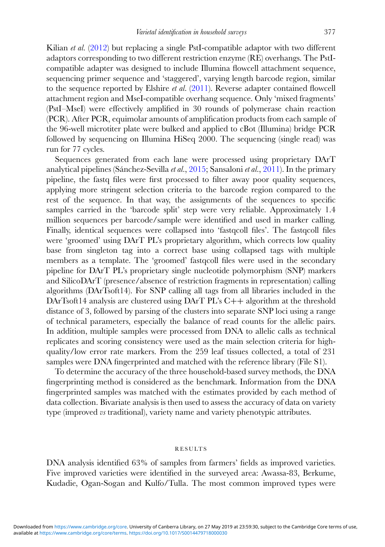Kilian *et al.* [\(2012\)](#page-14-0) but replacing a single PstI-compatible adaptor with two different adaptors corresponding to two different restriction enzyme (RE) overhangs. The PstIcompatible adapter was designed to include Illumina flowcell attachment sequence, sequencing primer sequence and 'staggered', varying length barcode region, similar to the sequence reported by Elshire *et al.* [\(2011\)](#page-13-0). Reverse adapter contained flowcell attachment region and MseI-compatible overhang sequence. Only 'mixed fragments' (PstI–MseI) were effectively amplified in 30 rounds of polymerase chain reaction (PCR). After PCR, equimolar amounts of amplification products from each sample of the 96-well microtiter plate were bulked and applied to cBot (Illumina) bridge PCR followed by sequencing on Illumina HiSeq 2000. The sequencing (single read) was run for 77 cycles.

Sequences generated from each lane were processed using proprietary DArT analytical pipelines (Sánchez-Sevilla *et al.*, [2015;](#page-14-0) Sansaloni *et al.*, [2011\)](#page-14-0). In the primary pipeline, the fastq files were first processed to filter away poor quality sequences, applying more stringent selection criteria to the barcode region compared to the rest of the sequence. In that way, the assignments of the sequences to specific samples carried in the 'barcode split' step were very reliable. Approximately 1.4 million sequences per barcode/sample were identified and used in marker calling. Finally, identical sequences were collapsed into 'fastqcoll files'. The fastqcoll files were 'groomed' using DArT PL's proprietary algorithm, which corrects low quality base from singleton tag into a correct base using collapsed tags with multiple members as a template. The 'groomed' fastqcoll files were used in the secondary pipeline for DArT PL's proprietary single nucleotide polymorphism (SNP) markers and SilicoDArT (presence/absence of restriction fragments in representation) calling algorithms (DArTsoft14). For SNP calling all tags from all libraries included in the DArTsoft14 analysis are clustered using DArT PL's  $C++$  algorithm at the threshold distance of 3, followed by parsing of the clusters into separate SNP loci using a range of technical parameters, especially the balance of read counts for the allelic pairs. In addition, multiple samples were processed from DNA to allelic calls as technical replicates and scoring consistency were used as the main selection criteria for highquality/low error rate markers. From the 259 leaf tissues collected, a total of 231 samples were DNA fingerprinted and matched with the reference library (File S1).

To determine the accuracy of the three household-based survey methods, the DNA fingerprinting method is considered as the benchmark. Information from the DNA fingerprinted samples was matched with the estimates provided by each method of data collection. Bivariate analysis is then used to assess the accuracy of data on variety type (improved *vs* traditional), variety name and variety phenotypic attributes.

#### RESULTS

DNA analysis identified 63% of samples from farmers' fields as improved varieties. Five improved varieties were identified in the surveyed area: Awassa-83, Berkume, Kudadie, Ogan-Sogan and Kulfo/Tulla. The most common improved types were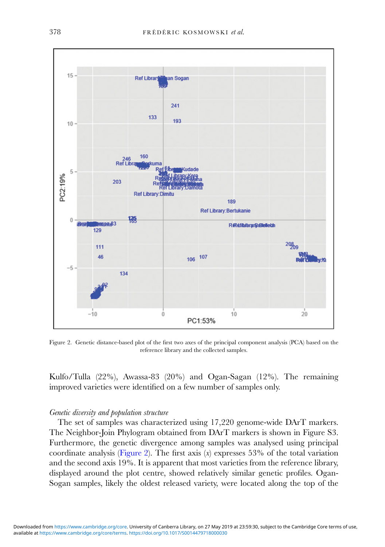

Figure 2. Genetic distance-based plot of the first two axes of the principal component analysis (PCA) based on the reference library and the collected samples.

Kulfo/Tulla (22%), Awassa-83 (20%) and Ogan-Sagan (12%). The remaining improved varieties were identified on a few number of samples only.

#### *Genetic diversity and population structure*

The set of samples was characterized using 17,220 genome-wide DArT markers. The Neighbor-Join Phylogram obtained from DArT markers is shown in Figure S3. Furthermore, the genetic divergence among samples was analysed using principal coordinate analysis (Figure 2). The first axis (*x*) expresses 53% of the total variation and the second axis 19%. It is apparent that most varieties from the reference library, displayed around the plot centre, showed relatively similar genetic profiles. Ogan-Sogan samples, likely the oldest released variety, were located along the top of the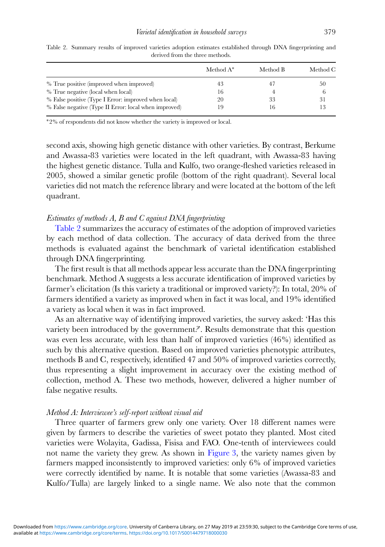|                                                       | Method $A^*$ | Method B | Method C |
|-------------------------------------------------------|--------------|----------|----------|
| % True positive (improved when improved)              | 43           | 47       | 50       |
| % True negative (local when local)                    | 16           |          |          |
| % False positive (Type I Error: improved when local)  | 20           | 33       | -31      |
| % False negative (Type II Error: local when improved) | 9            | 16       |          |

<span id="page-8-0"></span>Table 2. Summary results of improved varieties adoption estimates established through DNA fingerprinting and derived from the three methods.

∗2% of respondents did not know whether the variety is improved or local.

second axis, showing high genetic distance with other varieties. By contrast, Berkume and Awassa-83 varieties were located in the left quadrant, with Awassa-83 having the highest genetic distance. Tulla and Kulfo, two orange-fleshed varieties released in 2005, showed a similar genetic profile (bottom of the right quadrant). Several local varieties did not match the reference library and were located at the bottom of the left quadrant.

### *Estimates of methods A, B and C against DNA fingerprinting*

Table 2 summarizes the accuracy of estimates of the adoption of improved varieties by each method of data collection. The accuracy of data derived from the three methods is evaluated against the benchmark of varietal identification established through DNA fingerprinting.

The first result is that all methods appear less accurate than the DNA fingerprinting benchmark. Method A suggests a less accurate identification of improved varieties by farmer's elicitation (Is this variety a traditional or improved variety?): In total, 20% of farmers identified a variety as improved when in fact it was local, and 19% identified a variety as local when it was in fact improved.

As an alternative way of identifying improved varieties, the survey asked: 'Has this variety been introduced by the government*?*'. Results demonstrate that this question was even less accurate, with less than half of improved varieties (46%) identified as such by this alternative question. Based on improved varieties phenotypic attributes, methods B and C, respectively, identified 47 and 50% of improved varieties correctly, thus representing a slight improvement in accuracy over the existing method of collection, method A. These two methods, however, delivered a higher number of false negative results.

## *Method A: Interviewee's self-report without visual aid*

Three quarter of farmers grew only one variety. Over 18 different names were given by farmers to describe the varieties of sweet potato they planted. Most cited varieties were Wolayita, Gadissa, Fisisa and FAO. One-tenth of interviewees could not name the variety they grew. As shown in [Figure 3,](#page-9-0) the variety names given by farmers mapped inconsistently to improved varieties: only 6% of improved varieties were correctly identified by name. It is notable that some varieties (Awassa-83 and Kulfo/Tulla) are largely linked to a single name. We also note that the common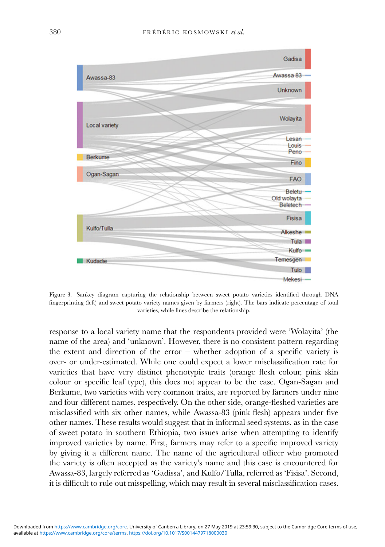<span id="page-9-0"></span>

Figure 3. Sankey diagram capturing the relationship between sweet potato varieties identified through DNA fingerprinting (left) and sweet potato variety names given by farmers (right). The bars indicate percentage of total varieties, while lines describe the relationship.

response to a local variety name that the respondents provided were 'Wolayita' (the name of the area) and 'unknown'. However, there is no consistent pattern regarding the extent and direction of the error – whether adoption of a specific variety is over- or under-estimated. While one could expect a lower misclassification rate for varieties that have very distinct phenotypic traits (orange flesh colour, pink skin colour or specific leaf type), this does not appear to be the case. Ogan-Sagan and Berkume, two varieties with very common traits, are reported by farmers under nine and four different names, respectively. On the other side, orange-fleshed varieties are misclassified with six other names, while Awassa-83 (pink flesh) appears under five other names. These results would suggest that in informal seed systems, as in the case of sweet potato in southern Ethiopia, two issues arise when attempting to identify improved varieties by name. First, farmers may refer to a specific improved variety by giving it a different name. The name of the agricultural officer who promoted the variety is often accepted as the variety's name and this case is encountered for Awassa-83, largely referred as 'Gadissa', and Kulfo/Tulla, referred as 'Fisisa'. Second, it is difficult to rule out misspelling, which may result in several misclassification cases.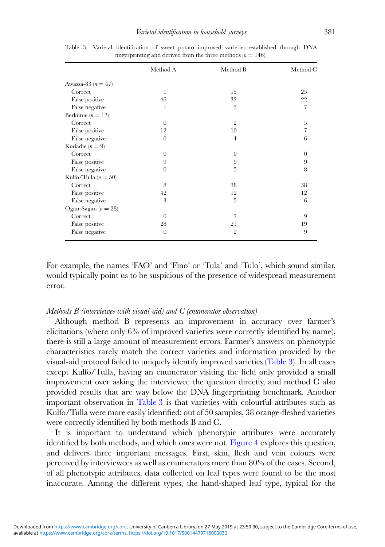|                          | Method A         | Method B       | Method C |
|--------------------------|------------------|----------------|----------|
| Awassa-83 ( $n = 47$ )   |                  |                |          |
| Correct                  | 1                | 15             | 25       |
| False positive           | 46               | 32             | 22       |
| False negative           | 1                | 3              | 7        |
| Berkume $(n = 12)$       |                  |                |          |
| Correct                  | $\overline{0}$   | $\overline{2}$ | 5        |
| False positive           | 12               | 10             |          |
| False negative           | $\overline{0}$   | $\overline{4}$ | 6        |
| Kudadie ( $n = 9$ )      |                  |                |          |
| Correct                  | $\Omega$         | $\Omega$       | 0        |
| False positive           | 9                | 9              | 9        |
| False negative           | $\boldsymbol{0}$ | 5              | 8        |
| Kulfo/Tulla ( $n = 50$ ) |                  |                |          |
| Correct                  | 8                | 38             | 38       |
| False positive           | 42               | 12             | 12       |
| False negative           | 3                | 5              | 6        |
| Ogan-Sagan ( $n = 28$ )  |                  |                |          |
| Correct                  | $\Omega$         | 7              | 9        |
| False positive           | 28               | 21             | 19       |
| False negative           | $\overline{0}$   | 2              | 9        |

Table 3. Varietal identification of sweet potato improved varieties established through DNA fingerprinting and derived from the three methods  $(n = 146)$ .

For example, the names 'FAO' and 'Fino' or 'Tula' and 'Tulo', which sound similar, would typically point us to be suspicious of the presence of widespread measurement error.

#### *Methods B (interviewee with visual-aid) and C (enumerator observation)*

Although method B represents an improvement in accuracy over farmer's elicitations (where only 6% of improved varieties were correctly identified by name), there is still a large amount of measurement errors. Farmer's answers on phenotypic characteristics rarely match the correct varieties and information provided by the visual-aid protocol failed to uniquely identify improved varieties (Table 3). In all cases except Kulfo/Tulla, having an enumerator visiting the field only provided a small improvement over asking the interviewee the question directly, and method C also provided results that are way below the DNA fingerprinting benchmark. Another important observation in Table 3 is that varieties with colourful attributes such as Kulfo/Tulla were more easily identified: out of 50 samples, 38 orange-fleshed varieties were correctly identified by both methods B and C.

It is important to understand which phenotypic attributes were accurately identified by both methods, and which ones were not. [Figure 4](#page-11-0) explores this question, and delivers three important messages. First, skin, flesh and vein colours were perceived by interviewees as well as enumerators more than 80% of the cases. Second, of all phenotypic attributes, data collected on leaf types were found to be the most inaccurate. Among the different types, the hand-shaped leaf type, typical for the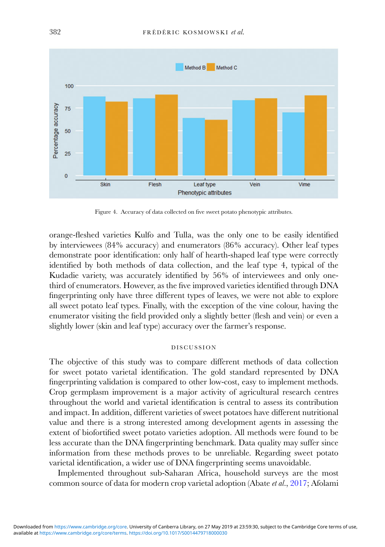<span id="page-11-0"></span>

Figure 4. Accuracy of data collected on five sweet potato phenotypic attributes.

orange-fleshed varieties Kulfo and Tulla, was the only one to be easily identified by interviewees (84% accuracy) and enumerators (86% accuracy). Other leaf types demonstrate poor identification: only half of hearth-shaped leaf type were correctly identified by both methods of data collection, and the leaf type 4, typical of the Kudadie variety, was accurately identified by 56% of interviewees and only onethird of enumerators. However, as the five improved varieties identified through DNA fingerprinting only have three different types of leaves, we were not able to explore all sweet potato leaf types. Finally, with the exception of the vine colour, having the enumerator visiting the field provided only a slightly better (flesh and vein) or even a slightly lower (skin and leaf type) accuracy over the farmer's response.

#### DISCUSSION

The objective of this study was to compare different methods of data collection for sweet potato varietal identification. The gold standard represented by DNA fingerprinting validation is compared to other low-cost, easy to implement methods. Crop germplasm improvement is a major activity of agricultural research centres throughout the world and varietal identification is central to assess its contribution and impact. In addition, different varieties of sweet potatoes have different nutritional value and there is a strong interested among development agents in assessing the extent of biofortified sweet potato varieties adoption. All methods were found to be less accurate than the DNA fingerprinting benchmark. Data quality may suffer since information from these methods proves to be unreliable. Regarding sweet potato varietal identification, a wider use of DNA fingerprinting seems unavoidable.

Implemented throughout sub-Saharan Africa, household surveys are the most common source of data for modern crop varietal adoption (Abate *et al.*, [2017;](#page-13-0) Afolami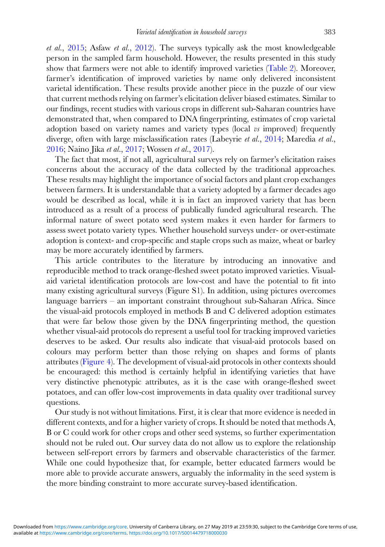*et al.*, [2015;](#page-13-0) Asfaw *et al.*, [2012\)](#page-13-0). The surveys typically ask the most knowledgeable person in the sampled farm household. However, the results presented in this study show that farmers were not able to identify improved varieties [\(Table 2\)](#page-8-0). Moreover, farmer's identification of improved varieties by name only delivered inconsistent varietal identification. These results provide another piece in the puzzle of our view that current methods relying on farmer's elicitation deliver biased estimates. Similar to our findings, recent studies with various crops in different sub-Saharan countries have demonstrated that, when compared to DNA fingerprinting, estimates of crop varietal adoption based on variety names and variety types (local *vs* improved) frequently diverge, often with large misclassification rates (Labeyrie *et al.*, [2014;](#page-14-0) Maredia *et al.*, [2016;](#page-14-0) Naino Jika *et al.*, [2017;](#page-14-0) Wossen *et al.*, [2017\)](#page-14-0).

The fact that most, if not all, agricultural surveys rely on farmer's elicitation raises concerns about the accuracy of the data collected by the traditional approaches. These results may highlight the importance of social factors and plant crop exchanges between farmers. It is understandable that a variety adopted by a farmer decades ago would be described as local, while it is in fact an improved variety that has been introduced as a result of a process of publically funded agricultural research. The informal nature of sweet potato seed system makes it even harder for farmers to assess sweet potato variety types. Whether household surveys under- or over-estimate adoption is context- and crop-specific and staple crops such as maize, wheat or barley may be more accurately identified by farmers.

This article contributes to the literature by introducing an innovative and reproducible method to track orange-fleshed sweet potato improved varieties. Visualaid varietal identification protocols are low-cost and have the potential to fit into many existing agricultural surveys (Figure S1). In addition, using pictures overcomes language barriers – an important constraint throughout sub-Saharan Africa. Since the visual-aid protocols employed in methods B and C delivered adoption estimates that were far below those given by the DNA fingerprinting method, the question whether visual-aid protocols do represent a useful tool for tracking improved varieties deserves to be asked. Our results also indicate that visual-aid protocols based on colours may perform better than those relying on shapes and forms of plants attributes [\(Figure 4\)](#page-11-0). The development of visual-aid protocols in other contexts should be encouraged: this method is certainly helpful in identifying varieties that have very distinctive phenotypic attributes, as it is the case with orange-fleshed sweet potatoes, and can offer low-cost improvements in data quality over traditional survey questions.

Our study is not without limitations. First, it is clear that more evidence is needed in different contexts, and for a higher variety of crops. It should be noted that methods A, B or C could work for other crops and other seed systems, so further experimentation should not be ruled out. Our survey data do not allow us to explore the relationship between self-report errors by farmers and observable characteristics of the farmer. While one could hypothesize that, for example, better educated farmers would be more able to provide accurate answers, arguably the informality in the seed system is the more binding constraint to more accurate survey-based identification.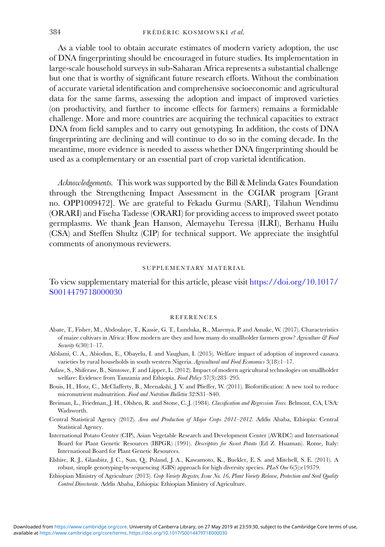<span id="page-13-0"></span>As a viable tool to obtain accurate estimates of modern variety adoption, the use of DNA fingerprinting should be encouraged in future studies. Its implementation in large-scale household surveys in sub-Saharan Africa represents a substantial challenge but one that is worthy of significant future research efforts. Without the combination of accurate varietal identification and comprehensive socioeconomic and agricultural data for the same farms, assessing the adoption and impact of improved varieties (on productivity, and further to income effects for farmers) remains a formidable challenge. More and more countries are acquiring the technical capacities to extract DNA from field samples and to carry out genotyping. In addition, the costs of DNA fingerprinting are declining and will continue to do so in the coming decade. In the meantime, more evidence is needed to assess whether DNA fingerprinting should be used as a complementary or an essential part of crop varietal identification.

*Acknowledgements.* This work was supported by the Bill & Melinda Gates Foundation through the Strengthening Impact Assessment in the CGIAR program [Grant no. OPP1009472]. We are grateful to Fekadu Gurmu (SARI), Tilahun Wendimu (ORARI) and Fiseha Tadesse (ORARI) for providing access to improved sweet potato germplasms. We thank Jean Hanson, Alemayehu Teressa (ILRI), Berhanu Huilu (CSA) and Steffen Shultz (CIP) for technical support. We appreciate the insightful comments of anonymous reviewers.

#### S U P P L E M E N TA RY MATERIAL

[To view supplementary material for this article, please visit](https://doi.org/10.1017/S0014479718000030) https://doi.org/10.1017/ S0014479718000030

#### REFERENCES

- Abate, T., Fisher, M., Abdoulaye, T., Kassie, G. T., Lunduka, R., Marenya, P. and Asnake, W. (2017). Characteristics of maize cultivars in Africa: How modern are they and how many do smallholder farmers grow? *Agriculture & Food Security* 6(30):1–17.
- Afolami, C. A., Abiodun, E., Obayelu, I. and Vaughan, I. (2015). Welfare impact of adoption of improved cassava varieties by rural households in south western Nigeria. *Agricultural and Food Economics* 3(18):1–17.
- Asfaw, S., Shiferaw, B., Simtowe, F. and Lipper, L. (2012). Impact of modern agricultural technologies on smallholder welfare: Evidence from Tanzania and Ethiopia. *Food Policy* 37(3):283–295.
- Bouis, H., Hotz, C., McClafferty, B., Meenakshi, J. V. and Pfieffer, W. (2011). Biofortification: A new tool to reduce micronutrient malnutrition. *Food and Nutrition Bulletin* 32:S31–S40.
- Breiman, L., Friedman, J. H., Olshen, R. and Stone, C. J. (1984). *Classification and Regression Trees*. Belmont, CA, USA: Wadsworth.
- Central Statistical Agency (2012). *Area and Production of Major Crops 2011–2012*. Addis Ababa, Ethiopia: Central Statistical Agency.
- International Potato Center (CIP), Asian Vegetable Research and Development Center (AVRDC) and International Board for Plant Genetic Resources (IBPGR) (1991). *Descriptors for Sweet Potato* (Ed Z. Huaman). Rome, Italy: International Board for Plant Genetic Resources.
- Elshire, R. J., Glaubitz, J. C., Sun, Q., Poland, J. A., Kawamoto, K., Buckler, E. S. and Mitchell, S. E. (2011). A robust, simple genotyping-by-sequencing (GBS) approach for high diversity species. *PLoS One* 6(5):e19379.
- Ethiopian Ministry of Agriculture (2013). *Crop Variety Register, Issue No. 16, Plant Variety Release, Protection and Seed Quality Control Directorate*. Addis Ababa, Ethiopia: Ethiopian Ministry of Agriculture.